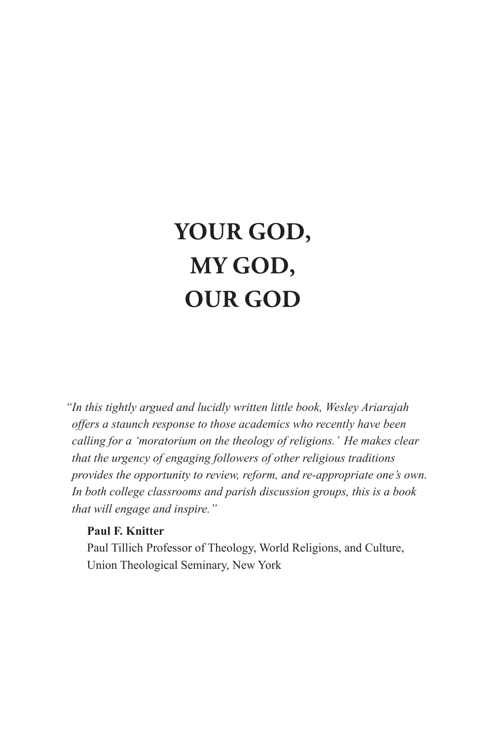## **Your God, My God, Our God**

*"In this tightly argued and lucidly written little book, Wesley Ariarajah offers a staunch response to those academics who recently have been calling for a 'moratorium on the theology of religions.' He makes clear that the urgency of engaging followers of other religious traditions provides the opportunity to review, reform, and re-appropriate one's own. In both college classrooms and parish discussion groups, this is a book that will engage and inspire."*

#### **Paul F. Knitter**

Paul Tillich Professor of Theology, World Religions, and Culture, Union Theological Seminary, New York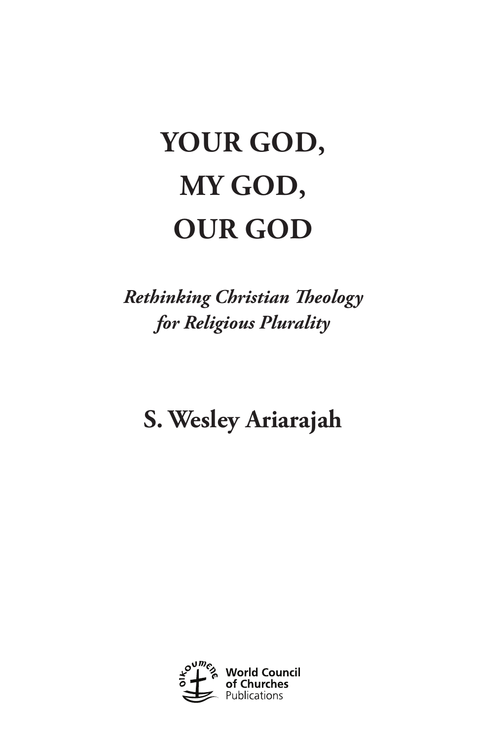# **Your God, My God, Our God**

*Rethinking Christian Theology for Religious Plurality*

**S. Wesley Ariarajah**

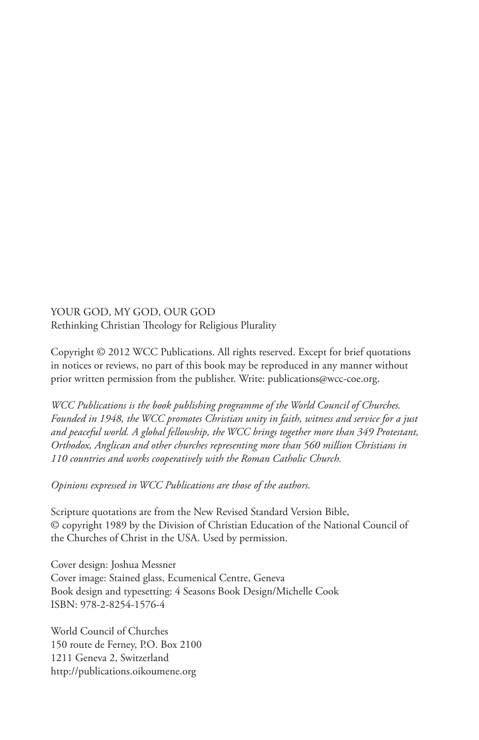YOUR GOD, MY GOD, OUR GOD Rethinking Christian Theology for Religious Plurality

Copyright © 2012 WCC Publications. All rights reserved. Except for brief quotations in notices or reviews, no part of this book may be reproduced in any manner without prior written permission from the publisher. Write: publications@wcc-coe.org.

*WCC Publications is the book publishing programme of the World Council of Churches. Founded in 1948, the WCC promotes Christian unity in faith, witness and service for a just and peaceful world. A global fellowship, the WCC brings together more than 349 Protestant, Orthodox, Anglican and other churches representing more than 560 million Christians in 110 countries and works cooperatively with the Roman Catholic Church.*

*Opinions expressed in WCC Publications are those of the authors.*

Scripture quotations are from the New Revised Standard Version Bible, © copyright 1989 by the Division of Christian Education of the National Council of the Churches of Christ in the USA. Used by permission.

Cover design: Joshua Messner Cover image: Stained glass, Ecumenical Centre, Geneva Book design and typesetting: 4 Seasons Book Design/Michelle Cook ISBN: 978-2-8254-1576-4

World Council of Churches 150 route de Ferney, P.O. Box 2100 1211 Geneva 2, Switzerland http://publications.oikoumene.org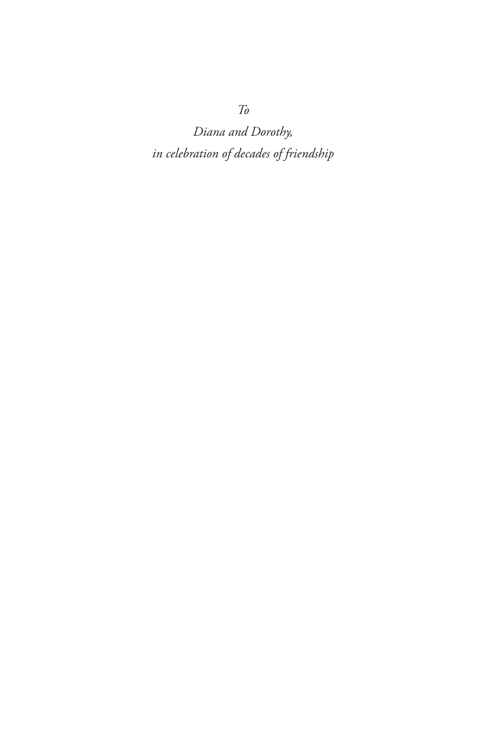*Diana and Dorothy, in celebration of decades of friendship* 

*To*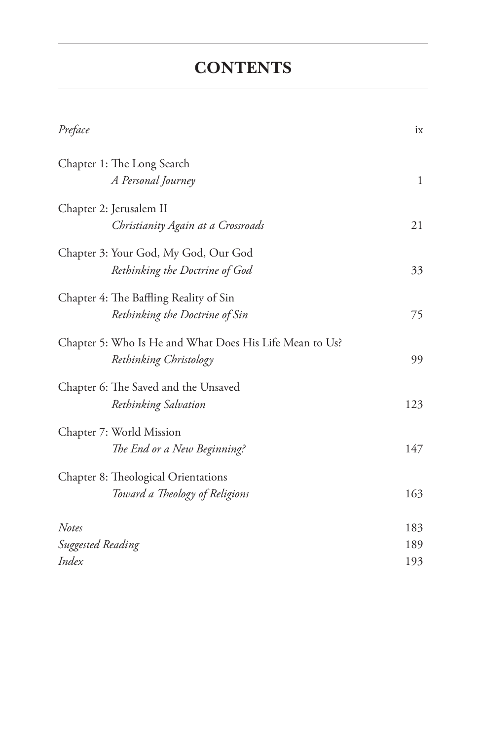### **CONTENTS**

| Preface                                                                           | ix  |
|-----------------------------------------------------------------------------------|-----|
| Chapter 1: The Long Search<br>A Personal Journey                                  | 1   |
| Chapter 2: Jerusalem II<br>Christianity Again at a Crossroads                     | 21  |
| Chapter 3: Your God, My God, Our God<br>Rethinking the Doctrine of God            | 33  |
| Chapter 4: The Baffling Reality of Sin<br>Rethinking the Doctrine of Sin          | 75  |
| Chapter 5: Who Is He and What Does His Life Mean to Us?<br>Rethinking Christology | 99  |
| Chapter 6: The Saved and the Unsaved<br>Rethinking Salvation                      | 123 |
| Chapter 7: World Mission<br>The End or a New Beginning?                           | 147 |
| Chapter 8: Theological Orientations<br>Toward a Theology of Religions             | 163 |
| Notes                                                                             | 183 |
| Suggested Reading                                                                 | 189 |
| Index                                                                             | 193 |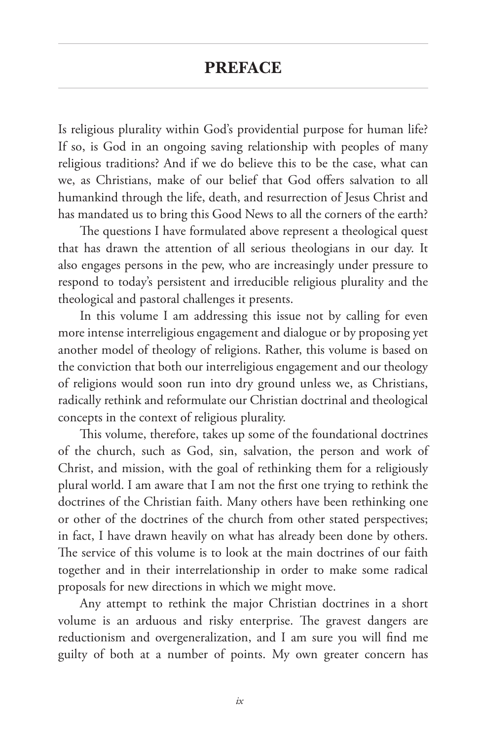#### **Preface**

Is religious plurality within God's providential purpose for human life? If so, is God in an ongoing saving relationship with peoples of many religious traditions? And if we do believe this to be the case, what can we, as Christians, make of our belief that God offers salvation to all humankind through the life, death, and resurrection of Jesus Christ and has mandated us to bring this Good News to all the corners of the earth?

The questions I have formulated above represent a theological quest that has drawn the attention of all serious theologians in our day. It also engages persons in the pew, who are increasingly under pressure to respond to today's persistent and irreducible religious plurality and the theological and pastoral challenges it presents.

In this volume I am addressing this issue not by calling for even more intense interreligious engagement and dialogue or by proposing yet another model of theology of religions. Rather, this volume is based on the conviction that both our interreligious engagement and our theology of religions would soon run into dry ground unless we, as Christians, radically rethink and reformulate our Christian doctrinal and theological concepts in the context of religious plurality.

This volume, therefore, takes up some of the foundational doctrines of the church, such as God, sin, salvation, the person and work of Christ, and mission, with the goal of rethinking them for a religiously plural world. I am aware that I am not the first one trying to rethink the doctrines of the Christian faith. Many others have been rethinking one or other of the doctrines of the church from other stated perspectives; in fact, I have drawn heavily on what has already been done by others. The service of this volume is to look at the main doctrines of our faith together and in their interrelationship in order to make some radical proposals for new directions in which we might move.

Any attempt to rethink the major Christian doctrines in a short volume is an arduous and risky enterprise. The gravest dangers are reductionism and overgeneralization, and I am sure you will find me guilty of both at a number of points. My own greater concern has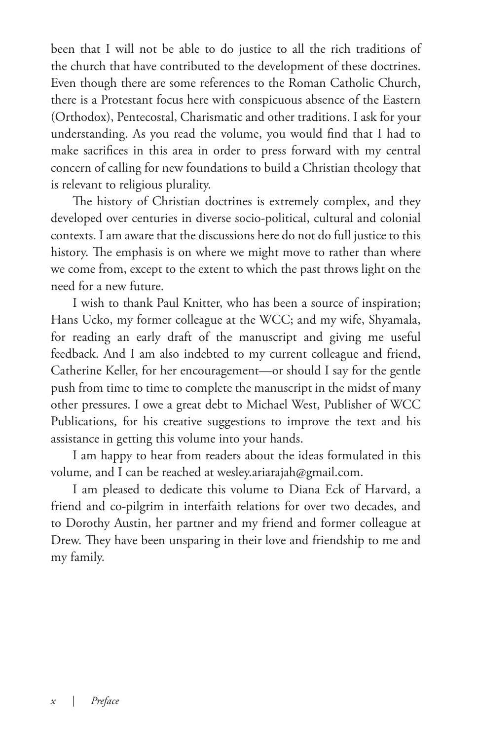been that I will not be able to do justice to all the rich traditions of the church that have contributed to the development of these doctrines. Even though there are some references to the Roman Catholic Church, there is a Protestant focus here with conspicuous absence of the Eastern (Orthodox), Pentecostal, Charismatic and other traditions. I ask for your understanding. As you read the volume, you would find that I had to make sacrifices in this area in order to press forward with my central concern of calling for new foundations to build a Christian theology that is relevant to religious plurality.

The history of Christian doctrines is extremely complex, and they developed over centuries in diverse socio-political, cultural and colonial contexts. I am aware that the discussions here do not do full justice to this history. The emphasis is on where we might move to rather than where we come from, except to the extent to which the past throws light on the need for a new future.

I wish to thank Paul Knitter, who has been a source of inspiration; Hans Ucko, my former colleague at the WCC; and my wife, Shyamala, for reading an early draft of the manuscript and giving me useful feedback. And I am also indebted to my current colleague and friend, Catherine Keller, for her encouragement—or should I say for the gentle push from time to time to complete the manuscript in the midst of many other pressures. I owe a great debt to Michael West, Publisher of WCC Publications, for his creative suggestions to improve the text and his assistance in getting this volume into your hands.

I am happy to hear from readers about the ideas formulated in this volume, and I can be reached at wesley.ariarajah@gmail.com.

I am pleased to dedicate this volume to Diana Eck of Harvard, a friend and co-pilgrim in interfaith relations for over two decades, and to Dorothy Austin, her partner and my friend and former colleague at Drew. They have been unsparing in their love and friendship to me and my family.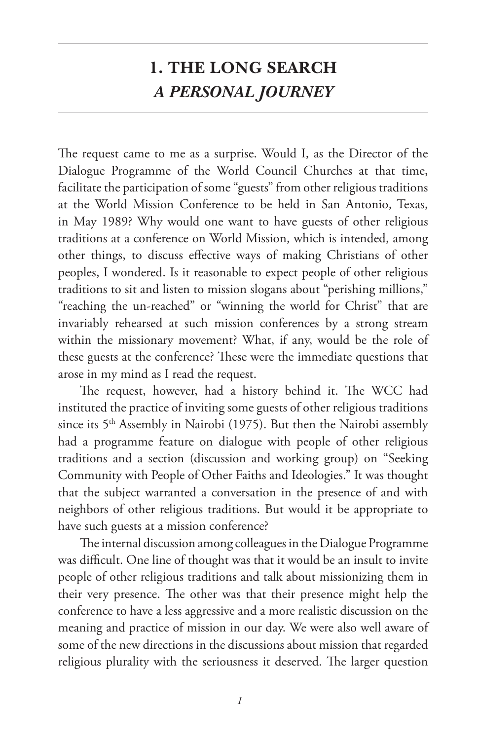## **1. THE LONG SEARCH** *A PERSONAL JOURNEY*

The request came to me as a surprise. Would I, as the Director of the Dialogue Programme of the World Council Churches at that time, facilitate the participation of some "guests" from other religious traditions at the World Mission Conference to be held in San Antonio, Texas, in May 1989? Why would one want to have guests of other religious traditions at a conference on World Mission, which is intended, among other things, to discuss effective ways of making Christians of other peoples, I wondered. Is it reasonable to expect people of other religious traditions to sit and listen to mission slogans about "perishing millions," "reaching the un-reached" or "winning the world for Christ" that are invariably rehearsed at such mission conferences by a strong stream within the missionary movement? What, if any, would be the role of these guests at the conference? These were the immediate questions that arose in my mind as I read the request.

The request, however, had a history behind it. The WCC had instituted the practice of inviting some guests of other religious traditions since its 5<sup>th</sup> Assembly in Nairobi (1975). But then the Nairobi assembly had a programme feature on dialogue with people of other religious traditions and a section (discussion and working group) on "Seeking Community with People of Other Faiths and Ideologies." It was thought that the subject warranted a conversation in the presence of and with neighbors of other religious traditions. But would it be appropriate to have such guests at a mission conference?

The internal discussion among colleagues in the Dialogue Programme was difficult. One line of thought was that it would be an insult to invite people of other religious traditions and talk about missionizing them in their very presence. The other was that their presence might help the conference to have a less aggressive and a more realistic discussion on the meaning and practice of mission in our day. We were also well aware of some of the new directions in the discussions about mission that regarded religious plurality with the seriousness it deserved. The larger question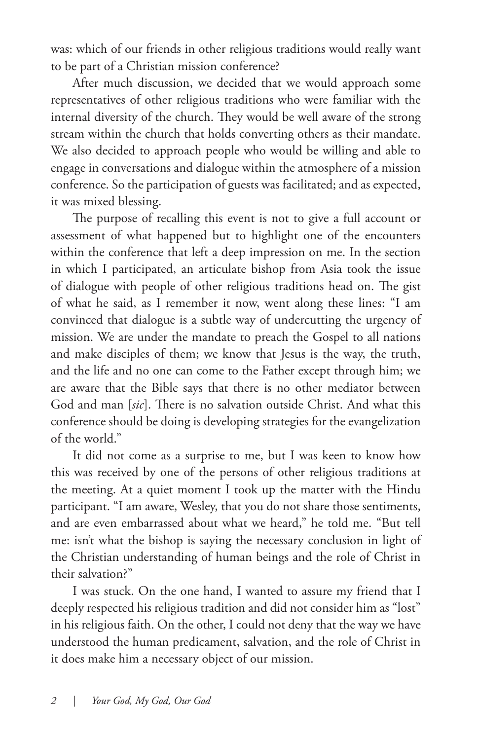was: which of our friends in other religious traditions would really want to be part of a Christian mission conference?

After much discussion, we decided that we would approach some representatives of other religious traditions who were familiar with the internal diversity of the church. They would be well aware of the strong stream within the church that holds converting others as their mandate. We also decided to approach people who would be willing and able to engage in conversations and dialogue within the atmosphere of a mission conference. So the participation of guests was facilitated; and as expected, it was mixed blessing.

The purpose of recalling this event is not to give a full account or assessment of what happened but to highlight one of the encounters within the conference that left a deep impression on me. In the section in which I participated, an articulate bishop from Asia took the issue of dialogue with people of other religious traditions head on. The gist of what he said, as I remember it now, went along these lines: "I am convinced that dialogue is a subtle way of undercutting the urgency of mission. We are under the mandate to preach the Gospel to all nations and make disciples of them; we know that Jesus is the way, the truth, and the life and no one can come to the Father except through him; we are aware that the Bible says that there is no other mediator between God and man [*sic*]. There is no salvation outside Christ. And what this conference should be doing is developing strategies for the evangelization of the world."

It did not come as a surprise to me, but I was keen to know how this was received by one of the persons of other religious traditions at the meeting. At a quiet moment I took up the matter with the Hindu participant. "I am aware, Wesley, that you do not share those sentiments, and are even embarrassed about what we heard," he told me. "But tell me: isn't what the bishop is saying the necessary conclusion in light of the Christian understanding of human beings and the role of Christ in their salvation?"

I was stuck. On the one hand, I wanted to assure my friend that I deeply respected his religious tradition and did not consider him as "lost" in his religious faith. On the other, I could not deny that the way we have understood the human predicament, salvation, and the role of Christ in it does make him a necessary object of our mission.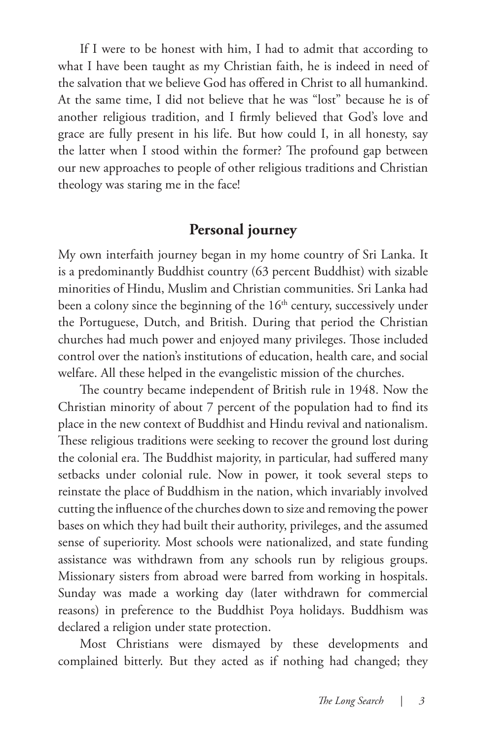If I were to be honest with him, I had to admit that according to what I have been taught as my Christian faith, he is indeed in need of the salvation that we believe God has offered in Christ to all humankind. At the same time, I did not believe that he was "lost" because he is of another religious tradition, and I firmly believed that God's love and grace are fully present in his life. But how could I, in all honesty, say the latter when I stood within the former? The profound gap between our new approaches to people of other religious traditions and Christian theology was staring me in the face!

#### **Personal journey**

My own interfaith journey began in my home country of Sri Lanka. It is a predominantly Buddhist country (63 percent Buddhist) with sizable minorities of Hindu, Muslim and Christian communities. Sri Lanka had been a colony since the beginning of the 16<sup>th</sup> century, successively under the Portuguese, Dutch, and British. During that period the Christian churches had much power and enjoyed many privileges. Those included control over the nation's institutions of education, health care, and social welfare. All these helped in the evangelistic mission of the churches.

The country became independent of British rule in 1948. Now the Christian minority of about 7 percent of the population had to find its place in the new context of Buddhist and Hindu revival and nationalism. These religious traditions were seeking to recover the ground lost during the colonial era. The Buddhist majority, in particular, had suffered many setbacks under colonial rule. Now in power, it took several steps to reinstate the place of Buddhism in the nation, which invariably involved cutting the influence of the churches down to size and removing the power bases on which they had built their authority, privileges, and the assumed sense of superiority. Most schools were nationalized, and state funding assistance was withdrawn from any schools run by religious groups. Missionary sisters from abroad were barred from working in hospitals. Sunday was made a working day (later withdrawn for commercial reasons) in preference to the Buddhist Poya holidays. Buddhism was declared a religion under state protection.

Most Christians were dismayed by these developments and complained bitterly. But they acted as if nothing had changed; they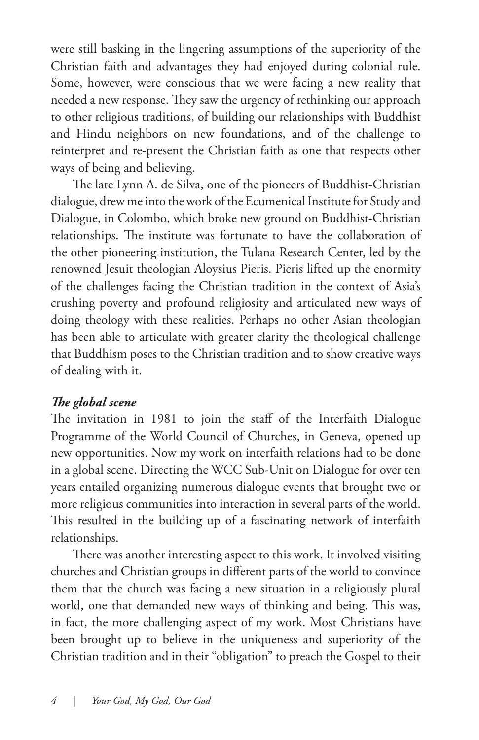were still basking in the lingering assumptions of the superiority of the Christian faith and advantages they had enjoyed during colonial rule. Some, however, were conscious that we were facing a new reality that needed a new response. They saw the urgency of rethinking our approach to other religious traditions, of building our relationships with Buddhist and Hindu neighbors on new foundations, and of the challenge to reinterpret and re-present the Christian faith as one that respects other ways of being and believing.

The late Lynn A. de Silva, one of the pioneers of Buddhist-Christian dialogue, drew me into the work of the Ecumenical Institute for Study and Dialogue, in Colombo, which broke new ground on Buddhist-Christian relationships. The institute was fortunate to have the collaboration of the other pioneering institution, the Tulana Research Center, led by the renowned Jesuit theologian Aloysius Pieris. Pieris lifted up the enormity of the challenges facing the Christian tradition in the context of Asia's crushing poverty and profound religiosity and articulated new ways of doing theology with these realities. Perhaps no other Asian theologian has been able to articulate with greater clarity the theological challenge that Buddhism poses to the Christian tradition and to show creative ways of dealing with it.

#### *The global scene*

The invitation in 1981 to join the staff of the Interfaith Dialogue Programme of the World Council of Churches, in Geneva, opened up new opportunities. Now my work on interfaith relations had to be done in a global scene. Directing the WCC Sub-Unit on Dialogue for over ten years entailed organizing numerous dialogue events that brought two or more religious communities into interaction in several parts of the world. This resulted in the building up of a fascinating network of interfaith relationships.

There was another interesting aspect to this work. It involved visiting churches and Christian groups in different parts of the world to convince them that the church was facing a new situation in a religiously plural world, one that demanded new ways of thinking and being. This was, in fact, the more challenging aspect of my work. Most Christians have been brought up to believe in the uniqueness and superiority of the Christian tradition and in their "obligation" to preach the Gospel to their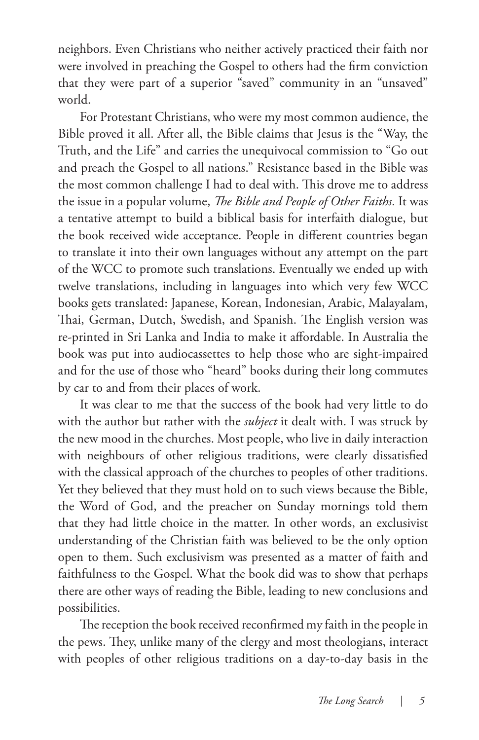neighbors. Even Christians who neither actively practiced their faith nor were involved in preaching the Gospel to others had the firm conviction that they were part of a superior "saved" community in an "unsaved" world.

For Protestant Christians, who were my most common audience, the Bible proved it all. After all, the Bible claims that Jesus is the "Way, the Truth, and the Life" and carries the unequivocal commission to "Go out and preach the Gospel to all nations." Resistance based in the Bible was the most common challenge I had to deal with. This drove me to address the issue in a popular volume, *The Bible and People of Other Faiths.* It was a tentative attempt to build a biblical basis for interfaith dialogue, but the book received wide acceptance. People in different countries began to translate it into their own languages without any attempt on the part of the WCC to promote such translations. Eventually we ended up with twelve translations, including in languages into which very few WCC books gets translated: Japanese, Korean, Indonesian, Arabic, Malayalam, Thai, German, Dutch, Swedish, and Spanish. The English version was re-printed in Sri Lanka and India to make it affordable. In Australia the book was put into audiocassettes to help those who are sight-impaired and for the use of those who "heard" books during their long commutes by car to and from their places of work.

It was clear to me that the success of the book had very little to do with the author but rather with the *subject* it dealt with. I was struck by the new mood in the churches. Most people, who live in daily interaction with neighbours of other religious traditions, were clearly dissatisfied with the classical approach of the churches to peoples of other traditions. Yet they believed that they must hold on to such views because the Bible, the Word of God, and the preacher on Sunday mornings told them that they had little choice in the matter. In other words, an exclusivist understanding of the Christian faith was believed to be the only option open to them. Such exclusivism was presented as a matter of faith and faithfulness to the Gospel. What the book did was to show that perhaps there are other ways of reading the Bible, leading to new conclusions and possibilities.

The reception the book received reconfirmed my faith in the people in the pews. They, unlike many of the clergy and most theologians, interact with peoples of other religious traditions on a day-to-day basis in the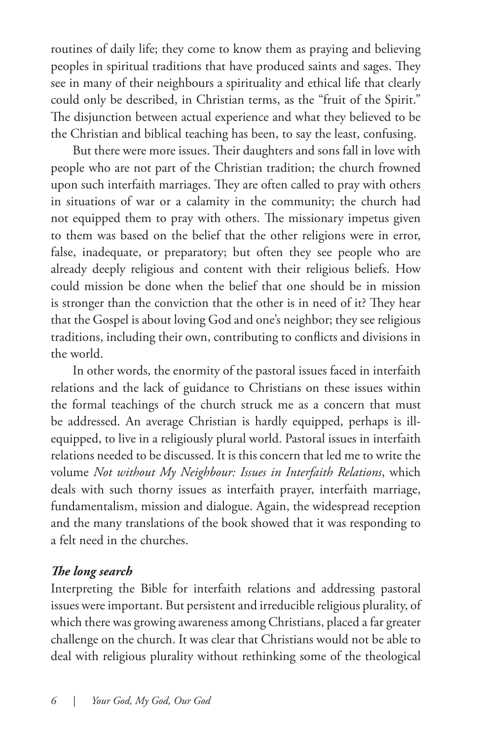routines of daily life; they come to know them as praying and believing peoples in spiritual traditions that have produced saints and sages. They see in many of their neighbours a spirituality and ethical life that clearly could only be described, in Christian terms, as the "fruit of the Spirit." The disjunction between actual experience and what they believed to be the Christian and biblical teaching has been, to say the least, confusing.

But there were more issues. Their daughters and sons fall in love with people who are not part of the Christian tradition; the church frowned upon such interfaith marriages. They are often called to pray with others in situations of war or a calamity in the community; the church had not equipped them to pray with others. The missionary impetus given to them was based on the belief that the other religions were in error, false, inadequate, or preparatory; but often they see people who are already deeply religious and content with their religious beliefs. How could mission be done when the belief that one should be in mission is stronger than the conviction that the other is in need of it? They hear that the Gospel is about loving God and one's neighbor; they see religious traditions, including their own, contributing to conflicts and divisions in the world.

In other words, the enormity of the pastoral issues faced in interfaith relations and the lack of guidance to Christians on these issues within the formal teachings of the church struck me as a concern that must be addressed. An average Christian is hardly equipped, perhaps is illequipped, to live in a religiously plural world. Pastoral issues in interfaith relations needed to be discussed. It is this concern that led me to write the volume *Not without My Neighbour: Issues in Interfaith Relations*, which deals with such thorny issues as interfaith prayer, interfaith marriage, fundamentalism, mission and dialogue. Again, the widespread reception and the many translations of the book showed that it was responding to a felt need in the churches.

#### *The long search*

Interpreting the Bible for interfaith relations and addressing pastoral issues were important. But persistent and irreducible religious plurality, of which there was growing awareness among Christians, placed a far greater challenge on the church. It was clear that Christians would not be able to deal with religious plurality without rethinking some of the theological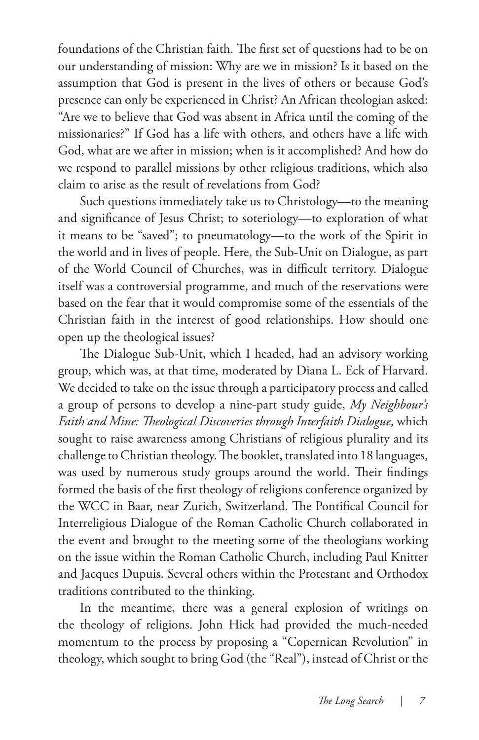foundations of the Christian faith. The first set of questions had to be on our understanding of mission: Why are we in mission? Is it based on the assumption that God is present in the lives of others or because God's presence can only be experienced in Christ? An African theologian asked: "Are we to believe that God was absent in Africa until the coming of the missionaries?" If God has a life with others, and others have a life with God, what are we after in mission; when is it accomplished? And how do we respond to parallel missions by other religious traditions, which also claim to arise as the result of revelations from God?

Such questions immediately take us to Christology—to the meaning and significance of Jesus Christ; to soteriology—to exploration of what it means to be "saved"; to pneumatology—to the work of the Spirit in the world and in lives of people. Here, the Sub-Unit on Dialogue, as part of the World Council of Churches, was in difficult territory. Dialogue itself was a controversial programme, and much of the reservations were based on the fear that it would compromise some of the essentials of the Christian faith in the interest of good relationships. How should one open up the theological issues?

The Dialogue Sub-Unit, which I headed, had an advisory working group, which was, at that time, moderated by Diana L. Eck of Harvard. We decided to take on the issue through a participatory process and called a group of persons to develop a nine-part study guide, *My Neighbour's Faith and Mine: Theological Discoveries through Interfaith Dialogue*, which sought to raise awareness among Christians of religious plurality and its challenge to Christian theology. The booklet, translated into 18 languages, was used by numerous study groups around the world. Their findings formed the basis of the first theology of religions conference organized by the WCC in Baar, near Zurich, Switzerland. The Pontifical Council for Interreligious Dialogue of the Roman Catholic Church collaborated in the event and brought to the meeting some of the theologians working on the issue within the Roman Catholic Church, including Paul Knitter and Jacques Dupuis. Several others within the Protestant and Orthodox traditions contributed to the thinking.

In the meantime, there was a general explosion of writings on the theology of religions. John Hick had provided the much-needed momentum to the process by proposing a "Copernican Revolution" in theology, which sought to bring God (the "Real"), instead of Christ or the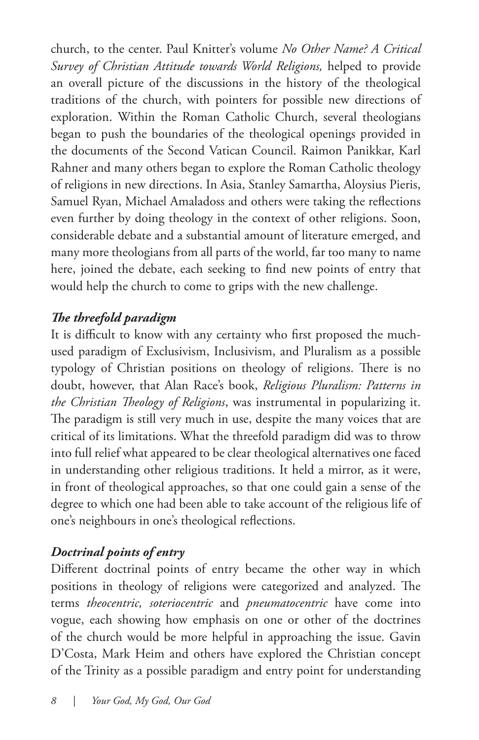church, to the center. Paul Knitter's volume *No Other Name? A Critical Survey of Christian Attitude towards World Religions,* helped to provide an overall picture of the discussions in the history of the theological traditions of the church, with pointers for possible new directions of exploration. Within the Roman Catholic Church, several theologians began to push the boundaries of the theological openings provided in the documents of the Second Vatican Council. Raimon Panikkar, Karl Rahner and many others began to explore the Roman Catholic theology of religions in new directions. In Asia, Stanley Samartha, Aloysius Pieris, Samuel Ryan, Michael Amaladoss and others were taking the reflections even further by doing theology in the context of other religions. Soon, considerable debate and a substantial amount of literature emerged, and many more theologians from all parts of the world, far too many to name here, joined the debate, each seeking to find new points of entry that would help the church to come to grips with the new challenge.

#### *The threefold paradigm*

It is difficult to know with any certainty who first proposed the muchused paradigm of Exclusivism, Inclusivism, and Pluralism as a possible typology of Christian positions on theology of religions. There is no doubt, however, that Alan Race's book, *Religious Pluralism: Patterns in the Christian Theology of Religions*, was instrumental in popularizing it. The paradigm is still very much in use, despite the many voices that are critical of its limitations. What the threefold paradigm did was to throw into full relief what appeared to be clear theological alternatives one faced in understanding other religious traditions. It held a mirror, as it were, in front of theological approaches, so that one could gain a sense of the degree to which one had been able to take account of the religious life of one's neighbours in one's theological reflections.

#### *Doctrinal points of entry*

Different doctrinal points of entry became the other way in which positions in theology of religions were categorized and analyzed. The terms *theocentric, soteriocentric* and *pneumatocentric* have come into vogue, each showing how emphasis on one or other of the doctrines of the church would be more helpful in approaching the issue. Gavin D'Costa, Mark Heim and others have explored the Christian concept of the Trinity as a possible paradigm and entry point for understanding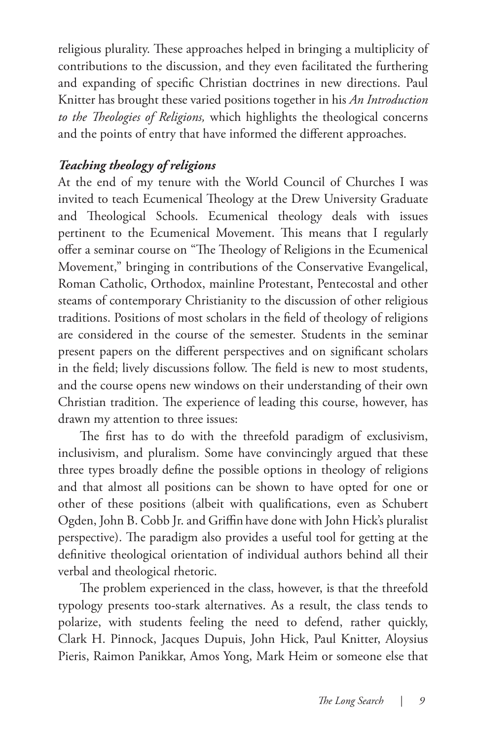religious plurality. These approaches helped in bringing a multiplicity of contributions to the discussion, and they even facilitated the furthering and expanding of specific Christian doctrines in new directions. Paul Knitter has brought these varied positions together in his *An Introduction to the Theologies of Religions,* which highlights the theological concerns and the points of entry that have informed the different approaches.

#### *Teaching theology of religions*

At the end of my tenure with the World Council of Churches I was invited to teach Ecumenical Theology at the Drew University Graduate and Theological Schools. Ecumenical theology deals with issues pertinent to the Ecumenical Movement. This means that I regularly offer a seminar course on "The Theology of Religions in the Ecumenical Movement," bringing in contributions of the Conservative Evangelical, Roman Catholic, Orthodox, mainline Protestant, Pentecostal and other steams of contemporary Christianity to the discussion of other religious traditions. Positions of most scholars in the field of theology of religions are considered in the course of the semester. Students in the seminar present papers on the different perspectives and on significant scholars in the field; lively discussions follow. The field is new to most students, and the course opens new windows on their understanding of their own Christian tradition. The experience of leading this course, however, has drawn my attention to three issues:

The first has to do with the threefold paradigm of exclusivism, inclusivism, and pluralism. Some have convincingly argued that these three types broadly define the possible options in theology of religions and that almost all positions can be shown to have opted for one or other of these positions (albeit with qualifications, even as Schubert Ogden, John B. Cobb Jr. and Griffin have done with John Hick's pluralist perspective). The paradigm also provides a useful tool for getting at the definitive theological orientation of individual authors behind all their verbal and theological rhetoric.

The problem experienced in the class, however, is that the threefold typology presents too-stark alternatives. As a result, the class tends to polarize, with students feeling the need to defend, rather quickly, Clark H. Pinnock, Jacques Dupuis, John Hick, Paul Knitter, Aloysius Pieris, Raimon Panikkar, Amos Yong, Mark Heim or someone else that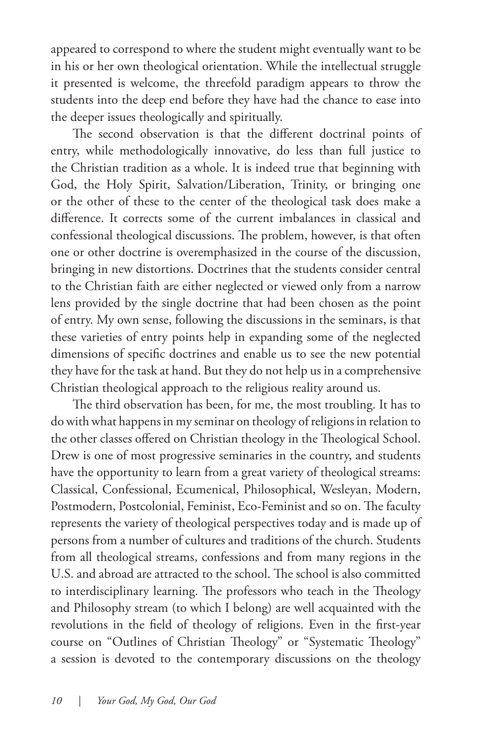appeared to correspond to where the student might eventually want to be in his or her own theological orientation. While the intellectual struggle it presented is welcome, the threefold paradigm appears to throw the students into the deep end before they have had the chance to ease into the deeper issues theologically and spiritually.

The second observation is that the different doctrinal points of entry, while methodologically innovative, do less than full justice to the Christian tradition as a whole. It is indeed true that beginning with God, the Holy Spirit, Salvation/Liberation, Trinity, or bringing one or the other of these to the center of the theological task does make a difference. It corrects some of the current imbalances in classical and confessional theological discussions. The problem, however, is that often one or other doctrine is overemphasized in the course of the discussion, bringing in new distortions. Doctrines that the students consider central to the Christian faith are either neglected or viewed only from a narrow lens provided by the single doctrine that had been chosen as the point of entry. My own sense, following the discussions in the seminars, is that these varieties of entry points help in expanding some of the neglected dimensions of specific doctrines and enable us to see the new potential they have for the task at hand. But they do not help us in a comprehensive Christian theological approach to the religious reality around us.

The third observation has been, for me, the most troubling. It has to do with what happens in my seminar on theology of religions in relation to the other classes offered on Christian theology in the Theological School. Drew is one of most progressive seminaries in the country, and students have the opportunity to learn from a great variety of theological streams: Classical, Confessional, Ecumenical, Philosophical, Wesleyan, Modern, Postmodern, Postcolonial, Feminist, Eco-Feminist and so on. The faculty represents the variety of theological perspectives today and is made up of persons from a number of cultures and traditions of the church. Students from all theological streams, confessions and from many regions in the U.S. and abroad are attracted to the school. The school is also committed to interdisciplinary learning. The professors who teach in the Theology and Philosophy stream (to which I belong) are well acquainted with the revolutions in the field of theology of religions. Even in the first-year course on "Outlines of Christian Theology" or "Systematic Theology" a session is devoted to the contemporary discussions on the theology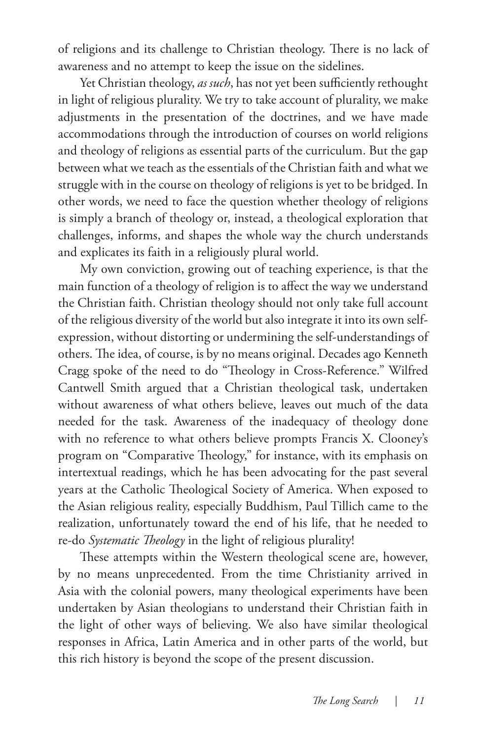of religions and its challenge to Christian theology. There is no lack of awareness and no attempt to keep the issue on the sidelines.

Yet Christian theology, *as such*, has not yet been sufficiently rethought in light of religious plurality. We try to take account of plurality, we make adjustments in the presentation of the doctrines, and we have made accommodations through the introduction of courses on world religions and theology of religions as essential parts of the curriculum. But the gap between what we teach as the essentials of the Christian faith and what we struggle with in the course on theology of religions is yet to be bridged. In other words, we need to face the question whether theology of religions is simply a branch of theology or, instead, a theological exploration that challenges, informs, and shapes the whole way the church understands and explicates its faith in a religiously plural world.

My own conviction, growing out of teaching experience, is that the main function of a theology of religion is to affect the way we understand the Christian faith. Christian theology should not only take full account of the religious diversity of the world but also integrate it into its own selfexpression, without distorting or undermining the self-understandings of others. The idea, of course, is by no means original. Decades ago Kenneth Cragg spoke of the need to do "Theology in Cross-Reference." Wilfred Cantwell Smith argued that a Christian theological task, undertaken without awareness of what others believe, leaves out much of the data needed for the task. Awareness of the inadequacy of theology done with no reference to what others believe prompts Francis X. Clooney's program on "Comparative Theology," for instance, with its emphasis on intertextual readings, which he has been advocating for the past several years at the Catholic Theological Society of America. When exposed to the Asian religious reality, especially Buddhism, Paul Tillich came to the realization, unfortunately toward the end of his life, that he needed to re-do *Systematic Theology* in the light of religious plurality!

These attempts within the Western theological scene are, however, by no means unprecedented. From the time Christianity arrived in Asia with the colonial powers, many theological experiments have been undertaken by Asian theologians to understand their Christian faith in the light of other ways of believing. We also have similar theological responses in Africa, Latin America and in other parts of the world, but this rich history is beyond the scope of the present discussion.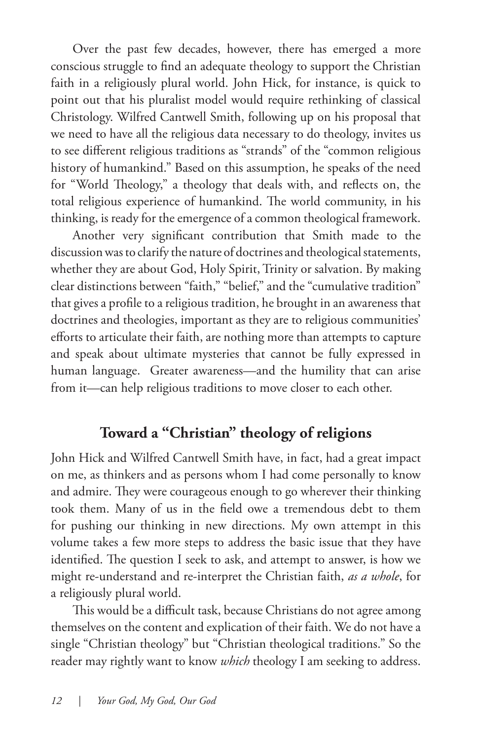Over the past few decades, however, there has emerged a more conscious struggle to find an adequate theology to support the Christian faith in a religiously plural world. John Hick, for instance, is quick to point out that his pluralist model would require rethinking of classical Christology. Wilfred Cantwell Smith, following up on his proposal that we need to have all the religious data necessary to do theology, invites us to see different religious traditions as "strands" of the "common religious history of humankind." Based on this assumption, he speaks of the need for "World Theology," a theology that deals with, and reflects on, the total religious experience of humankind. The world community, in his thinking, is ready for the emergence of a common theological framework.

Another very significant contribution that Smith made to the discussion was to clarify the nature of doctrines and theological statements, whether they are about God, Holy Spirit, Trinity or salvation. By making clear distinctions between "faith," "belief," and the "cumulative tradition" that gives a profile to a religious tradition, he brought in an awareness that doctrines and theologies, important as they are to religious communities' efforts to articulate their faith, are nothing more than attempts to capture and speak about ultimate mysteries that cannot be fully expressed in human language. Greater awareness—and the humility that can arise from it—can help religious traditions to move closer to each other.

#### **Toward a "Christian" theology of religions**

John Hick and Wilfred Cantwell Smith have, in fact, had a great impact on me, as thinkers and as persons whom I had come personally to know and admire. They were courageous enough to go wherever their thinking took them. Many of us in the field owe a tremendous debt to them for pushing our thinking in new directions. My own attempt in this volume takes a few more steps to address the basic issue that they have identified. The question I seek to ask, and attempt to answer, is how we might re-understand and re-interpret the Christian faith, *as a whole*, for a religiously plural world.

This would be a difficult task, because Christians do not agree among themselves on the content and explication of their faith. We do not have a single "Christian theology" but "Christian theological traditions." So the reader may rightly want to know *which* theology I am seeking to address.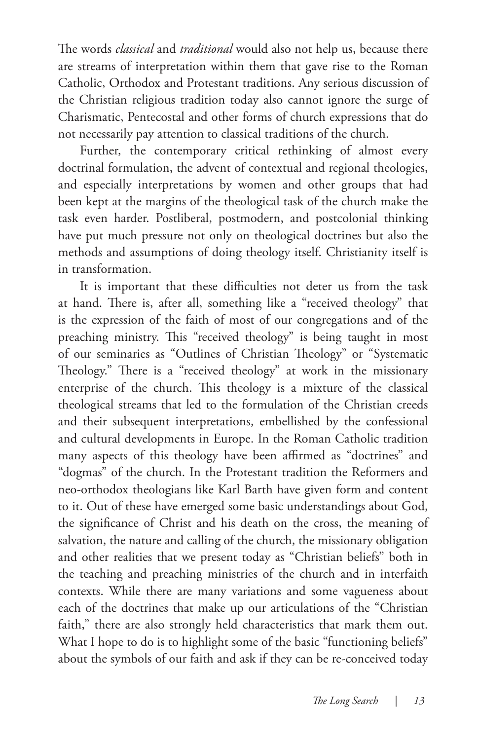The words *classical* and *traditional* would also not help us, because there are streams of interpretation within them that gave rise to the Roman Catholic, Orthodox and Protestant traditions. Any serious discussion of the Christian religious tradition today also cannot ignore the surge of Charismatic, Pentecostal and other forms of church expressions that do not necessarily pay attention to classical traditions of the church.

Further, the contemporary critical rethinking of almost every doctrinal formulation, the advent of contextual and regional theologies, and especially interpretations by women and other groups that had been kept at the margins of the theological task of the church make the task even harder. Postliberal, postmodern, and postcolonial thinking have put much pressure not only on theological doctrines but also the methods and assumptions of doing theology itself. Christianity itself is in transformation.

It is important that these difficulties not deter us from the task at hand. There is, after all, something like a "received theology" that is the expression of the faith of most of our congregations and of the preaching ministry. This "received theology" is being taught in most of our seminaries as "Outlines of Christian Theology" or "Systematic Theology." There is a "received theology" at work in the missionary enterprise of the church. This theology is a mixture of the classical theological streams that led to the formulation of the Christian creeds and their subsequent interpretations, embellished by the confessional and cultural developments in Europe. In the Roman Catholic tradition many aspects of this theology have been affirmed as "doctrines" and "dogmas" of the church. In the Protestant tradition the Reformers and neo-orthodox theologians like Karl Barth have given form and content to it. Out of these have emerged some basic understandings about God, the significance of Christ and his death on the cross, the meaning of salvation, the nature and calling of the church, the missionary obligation and other realities that we present today as "Christian beliefs" both in the teaching and preaching ministries of the church and in interfaith contexts. While there are many variations and some vagueness about each of the doctrines that make up our articulations of the "Christian faith," there are also strongly held characteristics that mark them out. What I hope to do is to highlight some of the basic "functioning beliefs" about the symbols of our faith and ask if they can be re-conceived today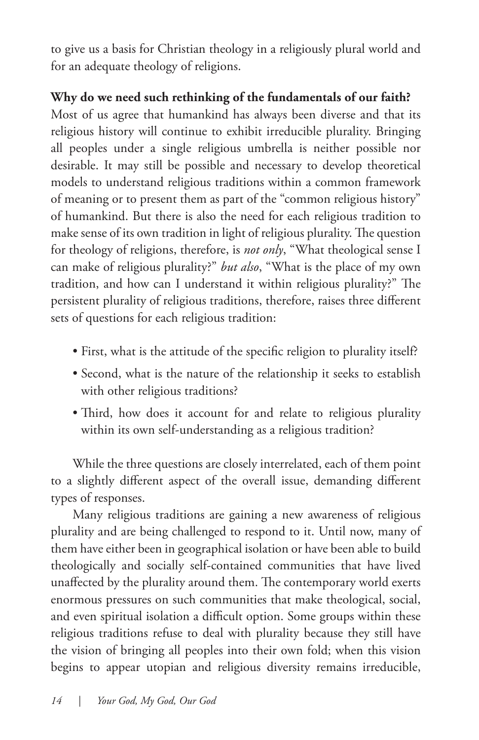to give us a basis for Christian theology in a religiously plural world and for an adequate theology of religions.

#### **Why do we need such rethinking of the fundamentals of our faith?**

Most of us agree that humankind has always been diverse and that its religious history will continue to exhibit irreducible plurality. Bringing all peoples under a single religious umbrella is neither possible nor desirable. It may still be possible and necessary to develop theoretical models to understand religious traditions within a common framework of meaning or to present them as part of the "common religious history" of humankind. But there is also the need for each religious tradition to make sense of its own tradition in light of religious plurality. The question for theology of religions, therefore, is *not only*, "What theological sense I can make of religious plurality?" *but also*, "What is the place of my own tradition, and how can I understand it within religious plurality?" The persistent plurality of religious traditions, therefore, raises three different sets of questions for each religious tradition:

- First, what is the attitude of the specific religion to plurality itself?
- Second, what is the nature of the relationship it seeks to establish with other religious traditions?
- Third, how does it account for and relate to religious plurality within its own self-understanding as a religious tradition?

While the three questions are closely interrelated, each of them point to a slightly different aspect of the overall issue, demanding different types of responses.

Many religious traditions are gaining a new awareness of religious plurality and are being challenged to respond to it. Until now, many of them have either been in geographical isolation or have been able to build theologically and socially self-contained communities that have lived unaffected by the plurality around them. The contemporary world exerts enormous pressures on such communities that make theological, social, and even spiritual isolation a difficult option. Some groups within these religious traditions refuse to deal with plurality because they still have the vision of bringing all peoples into their own fold; when this vision begins to appear utopian and religious diversity remains irreducible,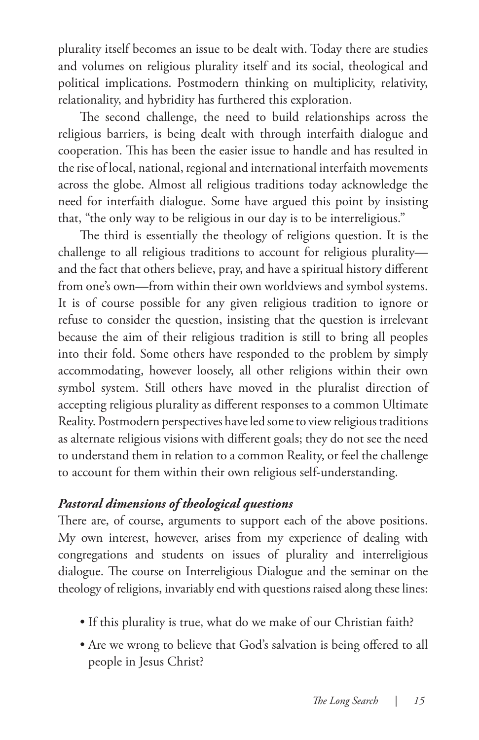plurality itself becomes an issue to be dealt with. Today there are studies and volumes on religious plurality itself and its social, theological and political implications. Postmodern thinking on multiplicity, relativity, relationality, and hybridity has furthered this exploration.

The second challenge, the need to build relationships across the religious barriers, is being dealt with through interfaith dialogue and cooperation. This has been the easier issue to handle and has resulted in the rise of local, national, regional and international interfaith movements across the globe. Almost all religious traditions today acknowledge the need for interfaith dialogue. Some have argued this point by insisting that, "the only way to be religious in our day is to be interreligious."

The third is essentially the theology of religions question. It is the challenge to all religious traditions to account for religious plurality and the fact that others believe, pray, and have a spiritual history different from one's own—from within their own worldviews and symbol systems. It is of course possible for any given religious tradition to ignore or refuse to consider the question, insisting that the question is irrelevant because the aim of their religious tradition is still to bring all peoples into their fold. Some others have responded to the problem by simply accommodating, however loosely, all other religions within their own symbol system. Still others have moved in the pluralist direction of accepting religious plurality as different responses to a common Ultimate Reality. Postmodern perspectives have led some to view religious traditions as alternate religious visions with different goals; they do not see the need to understand them in relation to a common Reality, or feel the challenge to account for them within their own religious self-understanding.

#### *Pastoral dimensions of theological questions*

There are, of course, arguments to support each of the above positions. My own interest, however, arises from my experience of dealing with congregations and students on issues of plurality and interreligious dialogue. The course on Interreligious Dialogue and the seminar on the theology of religions, invariably end with questions raised along these lines:

- If this plurality is true, what do we make of our Christian faith?
- Are we wrong to believe that God's salvation is being offered to all people in Jesus Christ?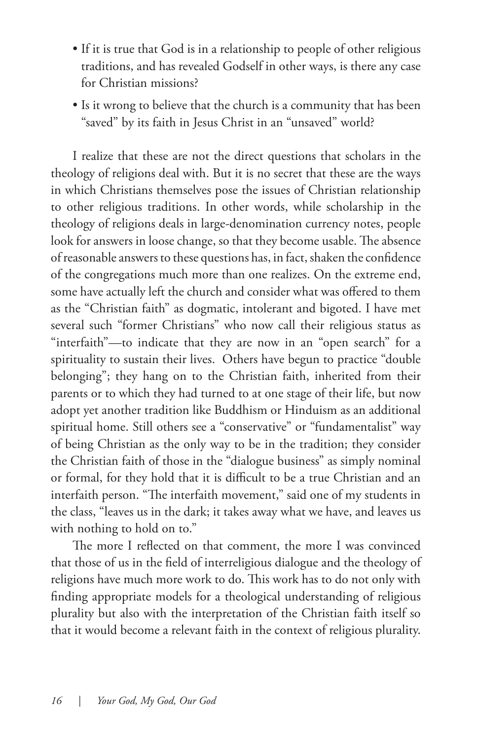- If it is true that God is in a relationship to people of other religious traditions, and has revealed Godself in other ways, is there any case for Christian missions?
- Is it wrong to believe that the church is a community that has been "saved" by its faith in Jesus Christ in an "unsaved" world?

I realize that these are not the direct questions that scholars in the theology of religions deal with. But it is no secret that these are the ways in which Christians themselves pose the issues of Christian relationship to other religious traditions. In other words, while scholarship in the theology of religions deals in large-denomination currency notes, people look for answers in loose change, so that they become usable. The absence of reasonable answers to these questions has, in fact, shaken the confidence of the congregations much more than one realizes. On the extreme end, some have actually left the church and consider what was offered to them as the "Christian faith" as dogmatic, intolerant and bigoted. I have met several such "former Christians" who now call their religious status as "interfaith"—to indicate that they are now in an "open search" for a spirituality to sustain their lives. Others have begun to practice "double belonging"; they hang on to the Christian faith, inherited from their parents or to which they had turned to at one stage of their life, but now adopt yet another tradition like Buddhism or Hinduism as an additional spiritual home. Still others see a "conservative" or "fundamentalist" way of being Christian as the only way to be in the tradition; they consider the Christian faith of those in the "dialogue business" as simply nominal or formal, for they hold that it is difficult to be a true Christian and an interfaith person. "The interfaith movement," said one of my students in the class, "leaves us in the dark; it takes away what we have, and leaves us with nothing to hold on to."

The more I reflected on that comment, the more I was convinced that those of us in the field of interreligious dialogue and the theology of religions have much more work to do. This work has to do not only with finding appropriate models for a theological understanding of religious plurality but also with the interpretation of the Christian faith itself so that it would become a relevant faith in the context of religious plurality.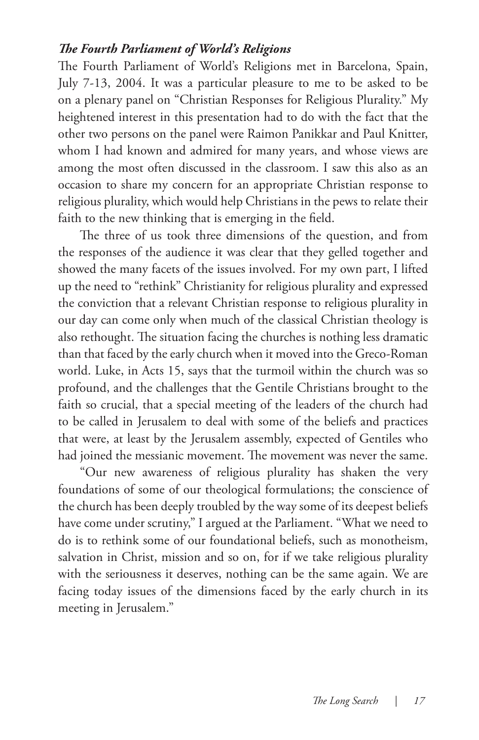#### *The Fourth Parliament of World's Religions*

The Fourth Parliament of World's Religions met in Barcelona, Spain, July 7-13, 2004. It was a particular pleasure to me to be asked to be on a plenary panel on "Christian Responses for Religious Plurality." My heightened interest in this presentation had to do with the fact that the other two persons on the panel were Raimon Panikkar and Paul Knitter, whom I had known and admired for many years, and whose views are among the most often discussed in the classroom. I saw this also as an occasion to share my concern for an appropriate Christian response to religious plurality, which would help Christians in the pews to relate their faith to the new thinking that is emerging in the field.

The three of us took three dimensions of the question, and from the responses of the audience it was clear that they gelled together and showed the many facets of the issues involved. For my own part, I lifted up the need to "rethink" Christianity for religious plurality and expressed the conviction that a relevant Christian response to religious plurality in our day can come only when much of the classical Christian theology is also rethought. The situation facing the churches is nothing less dramatic than that faced by the early church when it moved into the Greco-Roman world. Luke, in Acts 15, says that the turmoil within the church was so profound, and the challenges that the Gentile Christians brought to the faith so crucial, that a special meeting of the leaders of the church had to be called in Jerusalem to deal with some of the beliefs and practices that were, at least by the Jerusalem assembly, expected of Gentiles who had joined the messianic movement. The movement was never the same.

"Our new awareness of religious plurality has shaken the very foundations of some of our theological formulations; the conscience of the church has been deeply troubled by the way some of its deepest beliefs have come under scrutiny," I argued at the Parliament. "What we need to do is to rethink some of our foundational beliefs, such as monotheism, salvation in Christ, mission and so on, for if we take religious plurality with the seriousness it deserves, nothing can be the same again. We are facing today issues of the dimensions faced by the early church in its meeting in Jerusalem."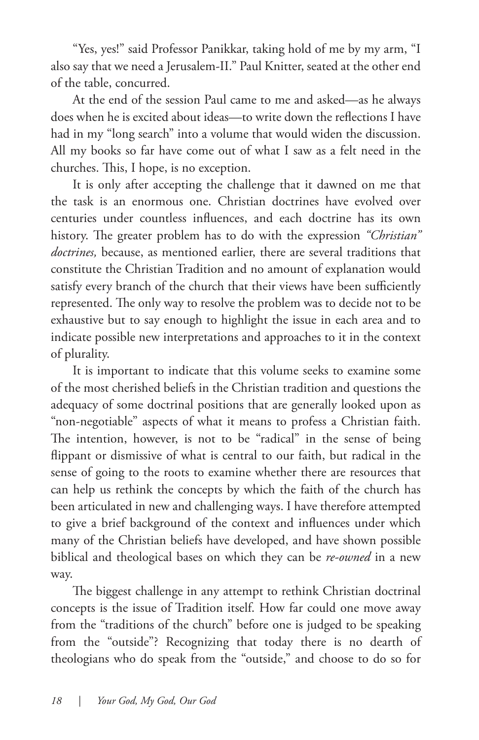"Yes, yes!" said Professor Panikkar, taking hold of me by my arm, "I also say that we need a Jerusalem-II." Paul Knitter, seated at the other end of the table, concurred.

At the end of the session Paul came to me and asked—as he always does when he is excited about ideas—to write down the reflections I have had in my "long search" into a volume that would widen the discussion. All my books so far have come out of what I saw as a felt need in the churches. This, I hope, is no exception.

It is only after accepting the challenge that it dawned on me that the task is an enormous one. Christian doctrines have evolved over centuries under countless influences, and each doctrine has its own history. The greater problem has to do with the expression *"Christian" doctrines,* because, as mentioned earlier, there are several traditions that constitute the Christian Tradition and no amount of explanation would satisfy every branch of the church that their views have been sufficiently represented. The only way to resolve the problem was to decide not to be exhaustive but to say enough to highlight the issue in each area and to indicate possible new interpretations and approaches to it in the context of plurality.

It is important to indicate that this volume seeks to examine some of the most cherished beliefs in the Christian tradition and questions the adequacy of some doctrinal positions that are generally looked upon as "non-negotiable" aspects of what it means to profess a Christian faith. The intention, however, is not to be "radical" in the sense of being flippant or dismissive of what is central to our faith, but radical in the sense of going to the roots to examine whether there are resources that can help us rethink the concepts by which the faith of the church has been articulated in new and challenging ways. I have therefore attempted to give a brief background of the context and influences under which many of the Christian beliefs have developed, and have shown possible biblical and theological bases on which they can be *re-owned* in a new way.

The biggest challenge in any attempt to rethink Christian doctrinal concepts is the issue of Tradition itself. How far could one move away from the "traditions of the church" before one is judged to be speaking from the "outside"? Recognizing that today there is no dearth of theologians who do speak from the "outside," and choose to do so for